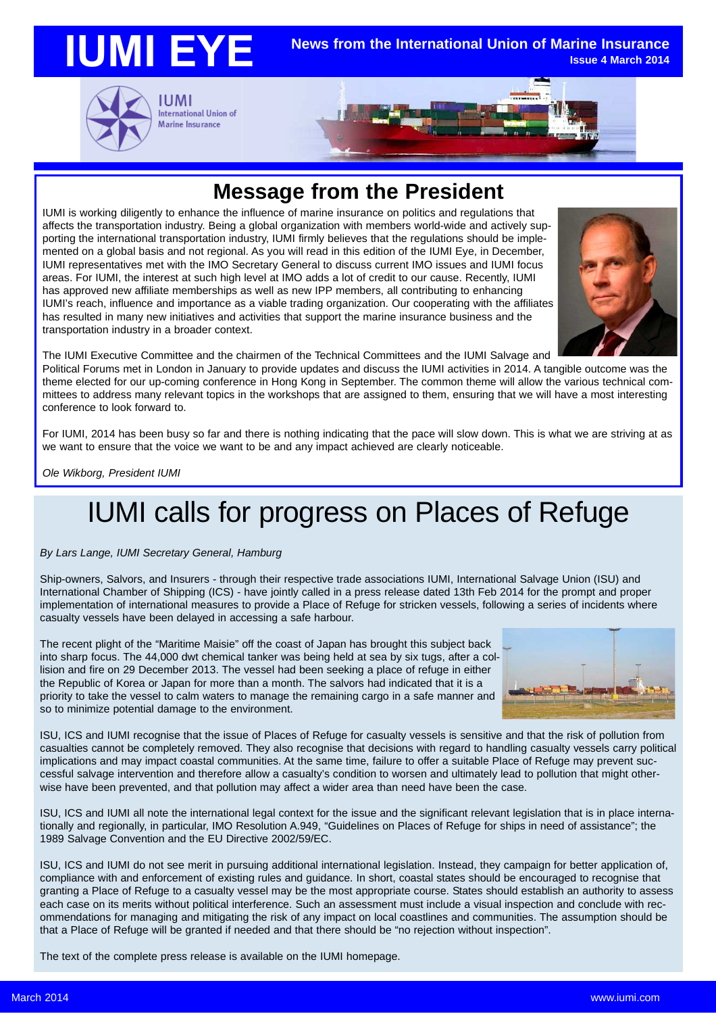

### **Message from the President**

IUMI is working diligently to enhance the influence of marine insurance on politics and regulations that affects the transportation industry. Being a global organization with members world-wide and actively supporting the international transportation industry, IUMI firmly believes that the regulations should be implemented on a global basis and not regional. As you will read in this edition of the IUMI Eye, in December, IUMI representatives met with the IMO Secretary General to discuss current IMO issues and IUMI focus areas. For IUMI, the interest at such high level at IMO adds a lot of credit to our cause. Recently, IUMI has approved new affiliate memberships as well as new IPP members, all contributing to enhancing IUMI's reach, influence and importance as a viable trading organization. Our cooperating with the affiliates has resulted in many new initiatives and activities that support the marine insurance business and the transportation industry in a broader context.



The IUMI Executive Committee and the chairmen of the Technical Committees and the IUMI Salvage and

Political Forums met in London in January to provide updates and discuss the IUMI activities in 2014. A tangible outcome was the theme elected for our up-coming conference in Hong Kong in September. The common theme will allow the various technical committees to address many relevant topics in the workshops that are assigned to them, ensuring that we will have a most interesting conference to look forward to.

For IUMI, 2014 has been busy so far and there is nothing indicating that the pace will slow down. This is what we are striving at as we want to ensure that the voice we want to be and any impact achieved are clearly noticeable.

*Ole Wikborg, President IUMI*

# IUMI calls for progress on Places of Refuge

*By Lars Lange, IUMI Secretary General, Hamburg*

Ship-owners, Salvors, and Insurers - through their respective trade associations IUMI, International Salvage Union (ISU) and International Chamber of Shipping (ICS) - have jointly called in a press release dated 13th Feb 2014 for the prompt and proper implementation of international measures to provide a Place of Refuge for stricken vessels, following a series of incidents where casualty vessels have been delayed in accessing a safe harbour.

The recent plight of the "Maritime Maisie" off the coast of Japan has brought this subject back into sharp focus. The 44,000 dwt chemical tanker was being held at sea by six tugs, after a collision and fire on 29 December 2013. The vessel had been seeking a place of refuge in either the Republic of Korea or Japan for more than a month. The salvors had indicated that it is a priority to take the vessel to calm waters to manage the remaining cargo in a safe manner and so to minimize potential damage to the environment.



ISU, ICS and IUMI recognise that the issue of Places of Refuge for casualty vessels is sensitive and that the risk of pollution from casualties cannot be completely removed. They also recognise that decisions with regard to handling casualty vessels carry political implications and may impact coastal communities. At the same time, failure to offer a suitable Place of Refuge may prevent successful salvage intervention and therefore allow a casualty's condition to worsen and ultimately lead to pollution that might otherwise have been prevented, and that pollution may affect a wider area than need have been the case.

ISU, ICS and IUMI all note the international legal context for the issue and the significant relevant legislation that is in place internationally and regionally, in particular, IMO Resolution A.949, "Guidelines on Places of Refuge for ships in need of assistance"; the 1989 Salvage Convention and the EU Directive 2002/59/EC.

ISU, ICS and IUMI do not see merit in pursuing additional international legislation. Instead, they campaign for better application of, compliance with and enforcement of existing rules and guidance. In short, coastal states should be encouraged to recognise that granting a Place of Refuge to a casualty vessel may be the most appropriate course. States should establish an authority to assess each case on its merits without political interference. Such an assessment must include a visual inspection and conclude with recommendations for managing and mitigating the risk of any impact on local coastlines and communities. The assumption should be that a Place of Refuge will be granted if needed and that there should be "no rejection without inspection".

The text of the complete press release is available on the IUMI homepage.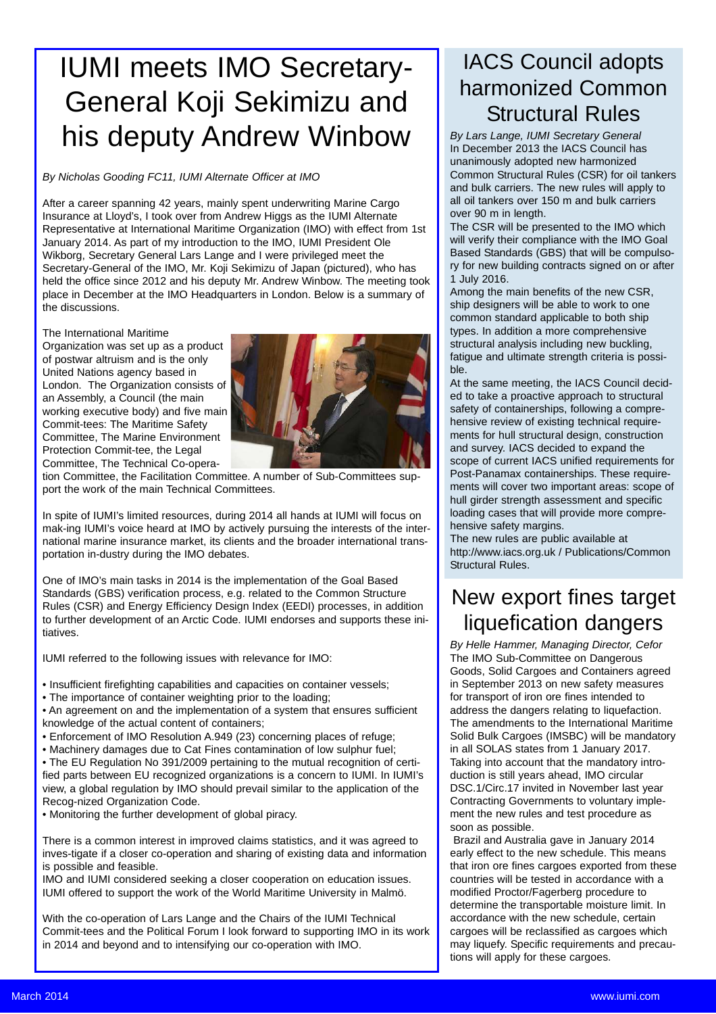# IUMI meets IMO Secretary-General Koji Sekimizu and his deputy Andrew Winbow

*By Nicholas Gooding FC11, IUMI Alternate Officer at IMO*

After a career spanning 42 years, mainly spent underwriting Marine Cargo Insurance at Lloyd's, I took over from Andrew Higgs as the IUMI Alternate Representative at International Maritime Organization (IMO) with effect from 1st January 2014. As part of my introduction to the IMO, IUMI President Ole Wikborg, Secretary General Lars Lange and I were privileged meet the Secretary-General of the IMO, Mr. Koji Sekimizu of Japan (pictured), who has held the office since 2012 and his deputy Mr. Andrew Winbow. The meeting took place in December at the IMO Headquarters in London. Below is a summary of the discussions.

The International Maritime

Organization was set up as a product of postwar altruism and is the only United Nations agency based in London. The Organization consists of an Assembly, a Council (the main working executive body) and five main Commit-tees: The Maritime Safety Committee, The Marine Environment Protection Commit-tee, the Legal Committee, The Technical Co-opera-



tion Committee, the Facilitation Committee. A number of Sub-Committees support the work of the main Technical Committees.

In spite of IUMI's limited resources, during 2014 all hands at IUMI will focus on mak-ing IUMI's voice heard at IMO by actively pursuing the interests of the international marine insurance market, its clients and the broader international transportation in-dustry during the IMO debates.

One of IMO's main tasks in 2014 is the implementation of the Goal Based Standards (GBS) verification process, e.g. related to the Common Structure Rules (CSR) and Energy Efficiency Design Index (EEDI) processes, in addition to further development of an Arctic Code. IUMI endorses and supports these initiatives.

IUMI referred to the following issues with relevance for IMO:

• Insufficient firefighting capabilities and capacities on container vessels;

• The importance of container weighting prior to the loading;

• An agreement on and the implementation of a system that ensures sufficient knowledge of the actual content of containers;

• Enforcement of IMO Resolution A.949 (23) concerning places of refuge;

• Machinery damages due to Cat Fines contamination of low sulphur fuel;

• The EU Regulation No 391/2009 pertaining to the mutual recognition of certified parts between EU recognized organizations is a concern to IUMI. In IUMI's view, a global regulation by IMO should prevail similar to the application of the Recog-nized Organization Code.

• Monitoring the further development of global piracy.

There is a common interest in improved claims statistics, and it was agreed to inves-tigate if a closer co-operation and sharing of existing data and information is possible and feasible.

IMO and IUMI considered seeking a closer cooperation on education issues. IUMI offered to support the work of the World Maritime University in Malmö.

With the co-operation of Lars Lange and the Chairs of the IUMI Technical Commit-tees and the Political Forum I look forward to supporting IMO in its work in 2014 and beyond and to intensifying our co-operation with IMO.

# IACS Council adopts harmonized Common Structural Rules

*By Lars Lange, IUMI Secretary General* In December 2013 the IACS Council has unanimously adopted new harmonized Common Structural Rules (CSR) for oil tankers and bulk carriers. The new rules will apply to all oil tankers over 150 m and bulk carriers over 90 m in length.

The CSR will be presented to the IMO which will verify their compliance with the IMO Goal Based Standards (GBS) that will be compulsory for new building contracts signed on or after 1 July 2016.

Among the main benefits of the new CSR, ship designers will be able to work to one common standard applicable to both ship types. In addition a more comprehensive structural analysis including new buckling, fatigue and ultimate strength criteria is possible.

At the same meeting, the IACS Council decided to take a proactive approach to structural safety of containerships, following a comprehensive review of existing technical requirements for hull structural design, construction and survey. IACS decided to expand the scope of current IACS unified requirements for Post-Panamax containerships. These requirements will cover two important areas: scope of hull girder strength assessment and specific loading cases that will provide more comprehensive safety margins.

The new rules are public available at http://www.iacs.org.uk / Publications/Common Structural Rules.

# New export fines target liquefication dangers

*By Helle Hammer, Managing Director, Cefor* The IMO Sub-Committee on Dangerous Goods, Solid Cargoes and Containers agreed in September 2013 on new safety measures for transport of iron ore fines intended to address the dangers relating to liquefaction. The amendments to the International Maritime Solid Bulk Cargoes (IMSBC) will be mandatory in all SOLAS states from 1 January 2017. Taking into account that the mandatory introduction is still years ahead, IMO circular DSC.1/Circ.17 invited in November last year Contracting Governments to voluntary implement the new rules and test procedure as soon as possible.

Brazil and Australia gave in January 2014 early effect to the new schedule. This means that iron ore fines cargoes exported from these countries will be tested in accordance with a modified Proctor/Fagerberg procedure to determine the transportable moisture limit. In accordance with the new schedule, certain cargoes will be reclassified as cargoes which may liquefy. Specific requirements and precautions will apply for these cargoes.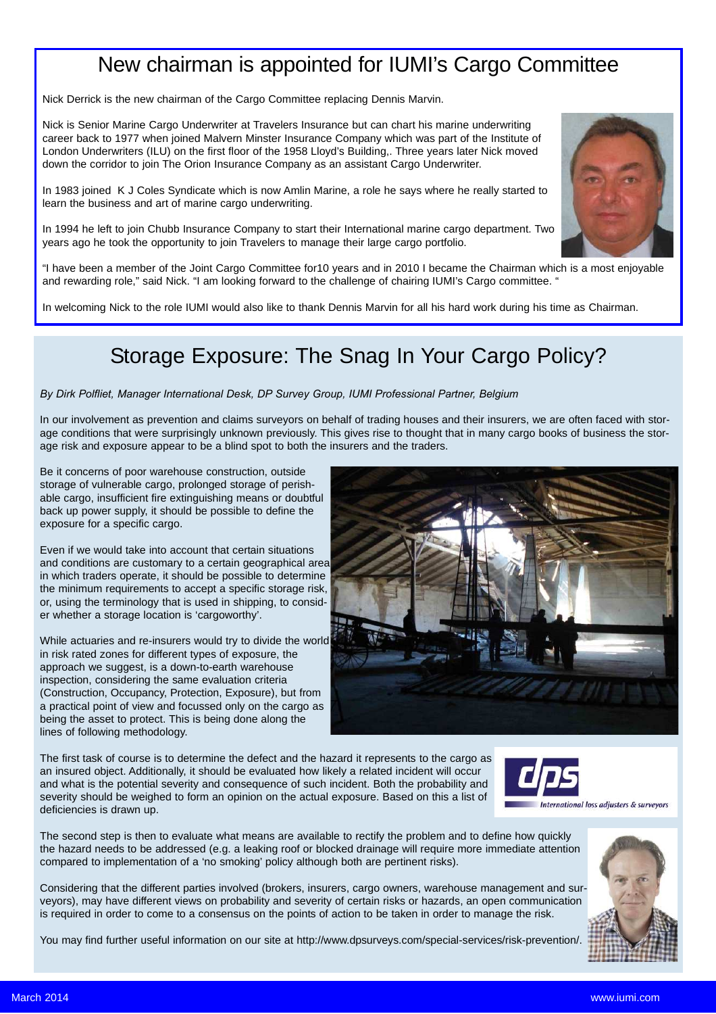### New chairman is appointed for IUMI's Cargo Committee

Nick Derrick is the new chairman of the Cargo Committee replacing Dennis Marvin.

Nick is Senior Marine Cargo Underwriter at Travelers Insurance but can chart his marine underwriting career back to 1977 when joined Malvern Minster Insurance Company which was part of the Institute of London Underwriters (ILU) on the first floor of the 1958 Lloyd's Building,. Three years later Nick moved down the corridor to join The Orion Insurance Company as an assistant Cargo Underwriter.

In 1983 joined K J Coles Syndicate which is now Amlin Marine, a role he says where he really started to learn the business and art of marine cargo underwriting.

In 1994 he left to join Chubb Insurance Company to start their International marine cargo department. Two years ago he took the opportunity to join Travelers to manage their large cargo portfolio.

"I have been a member of the Joint Cargo Committee for10 years and in 2010 I became the Chairman which is a most enjoyable and rewarding role," said Nick. "I am looking forward to the challenge of chairing IUMI's Cargo committee. "

In welcoming Nick to the role IUMI would also like to thank Dennis Marvin for all his hard work during his time as Chairman.

### Storage Exposure: The Snag In Your Cargo Policy?

#### *By Dirk Polfliet, Manager International Desk, DP Survey Group, IUMI Professional Partner, Belgium*

In our involvement as prevention and claims surveyors on behalf of trading houses and their insurers, we are often faced with storage conditions that were surprisingly unknown previously. This gives rise to thought that in many cargo books of business the storage risk and exposure appear to be a blind spot to both the insurers and the traders.

Be it concerns of poor warehouse construction, outside storage of vulnerable cargo, prolonged storage of perishable cargo, insufficient fire extinguishing means or doubtful back up power supply, it should be possible to define the exposure for a specific cargo.

Even if we would take into account that certain situations and conditions are customary to a certain geographical area in which traders operate, it should be possible to determine the minimum requirements to accept a specific storage risk, or, using the terminology that is used in shipping, to consider whether a storage location is 'cargoworthy'.

While actuaries and re-insurers would try to divide the world in risk rated zones for different types of exposure, the approach we suggest, is a down-to-earth warehouse inspection, considering the same evaluation criteria (Construction, Occupancy, Protection, Exposure), but from a practical point of view and focussed only on the cargo as being the asset to protect. This is being done along the lines of following methodology.



The first task of course is to determine the defect and the hazard it represents to the cargo as an insured object. Additionally, it should be evaluated how likely a related incident will occur and what is the potential severity and consequence of such incident. Both the probability and severity should be weighed to form an opinion on the actual exposure. Based on this a list of deficiencies is drawn up.



The second step is then to evaluate what means are available to rectify the problem and to define how quickly the hazard needs to be addressed (e.g. a leaking roof or blocked drainage will require more immediate attention compared to implementation of a 'no smoking' policy although both are pertinent risks).

Considering that the different parties involved (brokers, insurers, cargo owners, warehouse management and surveyors), may have different views on probability and severity of certain risks or hazards, an open communication is required in order to come to a consensus on the points of action to be taken in order to manage the risk.

You may find further useful information on our site at http://www.dpsurveys.com/special-services/risk-prevention/.



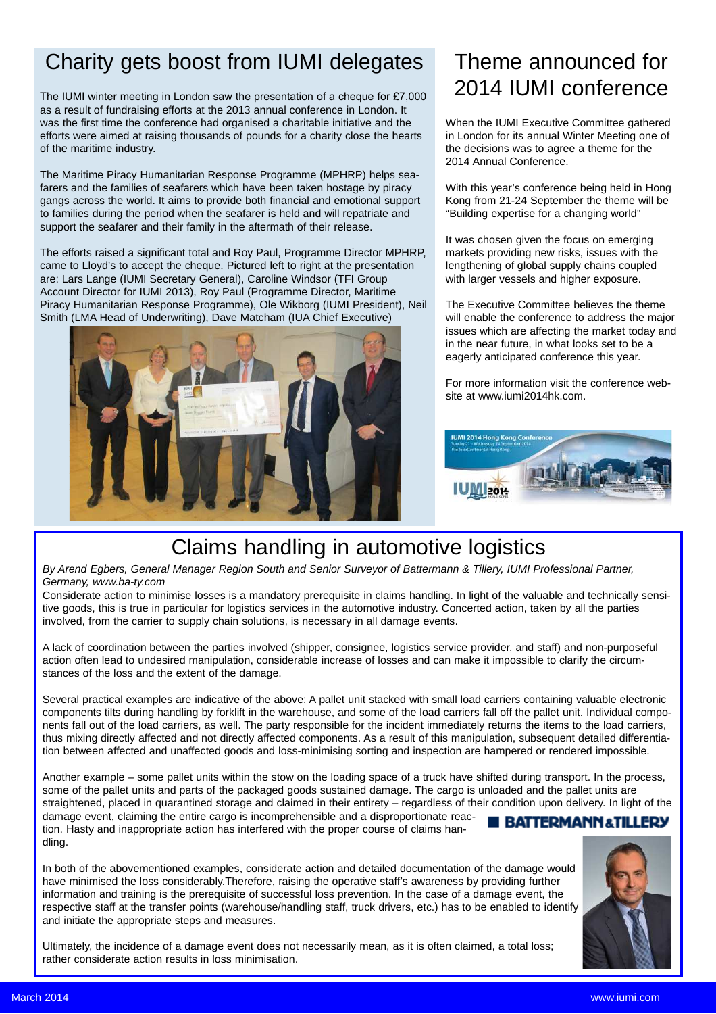# Charity gets boost from IUMI delegates

The IUMI winter meeting in London saw the presentation of a cheque for £7,000 as a result of fundraising efforts at the 2013 annual conference in London. It was the first time the conference had organised a charitable initiative and the efforts were aimed at raising thousands of pounds for a charity close the hearts of the maritime industry.

The Maritime Piracy Humanitarian Response Programme (MPHRP) helps seafarers and the families of seafarers which have been taken hostage by piracy gangs across the world. It aims to provide both financial and emotional support to families during the period when the seafarer is held and will repatriate and support the seafarer and their family in the aftermath of their release.

The efforts raised a significant total and Roy Paul, Programme Director MPHRP, came to Lloyd's to accept the cheque. Pictured left to right at the presentation are: Lars Lange (IUMI Secretary General), Caroline Windsor (TFI Group Account Director for IUMI 2013), Roy Paul (Programme Director, Maritime Piracy Humanitarian Response Programme), Ole Wikborg (IUMI President), Neil Smith (LMA Head of Underwriting), Dave Matcham (IUA Chief Executive)



# Theme announced for 2014 IUMI conference

When the IUMI Executive Committee gathered in London for its annual Winter Meeting one of the decisions was to agree a theme for the 2014 Annual Conference.

With this year's conference being held in Hong Kong from 21-24 September the theme will be "Building expertise for a changing world"

It was chosen given the focus on emerging markets providing new risks, issues with the lengthening of global supply chains coupled with larger vessels and higher exposure.

The Executive Committee believes the theme will enable the conference to address the major issues which are affecting the market today and in the near future, in what looks set to be a eagerly anticipated conference this year.

For more information visit the conference website at www.iumi2014hk.com.



# Claims handling in automotive logistics

*By Arend Egbers, General Manager Region South and Senior Surveyor of Battermann & Tillery, IUMI Professional Partner, Germany, www.ba-ty.com*

Considerate action to minimise losses is a mandatory prerequisite in claims handling. In light of the valuable and technically sensitive goods, this is true in particular for logistics services in the automotive industry. Concerted action, taken by all the parties involved, from the carrier to supply chain solutions, is necessary in all damage events.

A lack of coordination between the parties involved (shipper, consignee, logistics service provider, and staff) and non-purposeful action often lead to undesired manipulation, considerable increase of losses and can make it impossible to clarify the circumstances of the loss and the extent of the damage.

Several practical examples are indicative of the above: A pallet unit stacked with small load carriers containing valuable electronic components tilts during handling by forklift in the warehouse, and some of the load carriers fall off the pallet unit. Individual components fall out of the load carriers, as well. The party responsible for the incident immediately returns the items to the load carriers, thus mixing directly affected and not directly affected components. As a result of this manipulation, subsequent detailed differentiation between affected and unaffected goods and loss-minimising sorting and inspection are hampered or rendered impossible.

Another example – some pallet units within the stow on the loading space of a truck have shifted during transport. In the process, some of the pallet units and parts of the packaged goods sustained damage. The cargo is unloaded and the pallet units are straightened, placed in quarantined storage and claimed in their entirety – regardless of their condition upon delivery. In light of the damage event, claiming the entire cargo is incomprehensible and a disproportionate reac-**BATTERMANN&TILLERY** tion. Hasty and inappropriate action has interfered with the proper course of claims handling.

In both of the abovementioned examples, considerate action and detailed documentation of the damage would have minimised the loss considerably.Therefore, raising the operative staff's awareness by providing further information and training is the prerequisite of successful loss prevention. In the case of a damage event, the respective staff at the transfer points (warehouse/handling staff, truck drivers, etc.) has to be enabled to identify and initiate the appropriate steps and measures.

Ultimately, the incidence of a damage event does not necessarily mean, as it is often claimed, a total loss; rather considerate action results in loss minimisation.

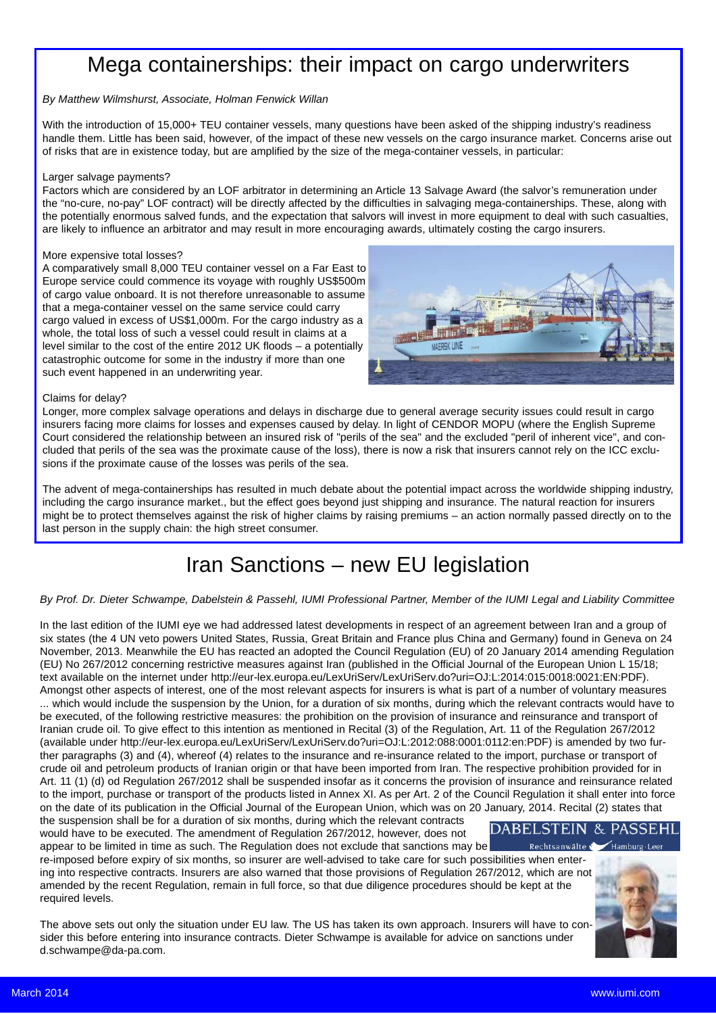### Mega containerships: their impact on cargo underwriters

#### *By Matthew Wilmshurst, Associate, Holman Fenwick Willan*

With the introduction of 15,000+ TEU container vessels, many questions have been asked of the shipping industry's readiness handle them. Little has been said, however, of the impact of these new vessels on the cargo insurance market. Concerns arise out of risks that are in existence today, but are amplified by the size of the mega-container vessels, in particular:

#### Larger salvage payments?

Factors which are considered by an LOF arbitrator in determining an Article 13 Salvage Award (the salvor's remuneration under the "no-cure, no-pay" LOF contract) will be directly affected by the difficulties in salvaging mega-containerships. These, along with the potentially enormous salved funds, and the expectation that salvors will invest in more equipment to deal with such casualties, are likely to influence an arbitrator and may result in more encouraging awards, ultimately costing the cargo insurers.

#### More expensive total losses?

A comparatively small 8,000 TEU container vessel on a Far East to Europe service could commence its voyage with roughly US\$500m of cargo value onboard. It is not therefore unreasonable to assume that a mega-container vessel on the same service could carry cargo valued in excess of US\$1,000m. For the cargo industry as a whole, the total loss of such a vessel could result in claims at a level similar to the cost of the entire 2012 UK floods – a potentially catastrophic outcome for some in the industry if more than one such event happened in an underwriting year.



#### Claims for delay?

Longer, more complex salvage operations and delays in discharge due to general average security issues could result in cargo insurers facing more claims for losses and expenses caused by delay. In light of CENDOR MOPU (where the English Supreme Court considered the relationship between an insured risk of "perils of the sea" and the excluded "peril of inherent vice", and concluded that perils of the sea was the proximate cause of the loss), there is now a risk that insurers cannot rely on the ICC exclusions if the proximate cause of the losses was perils of the sea.

The advent of mega-containerships has resulted in much debate about the potential impact across the worldwide shipping industry, including the cargo insurance market., but the effect goes beyond just shipping and insurance. The natural reaction for insurers might be to protect themselves against the risk of higher claims by raising premiums – an action normally passed directly on to the last person in the supply chain: the high street consumer.

# Iran Sanctions – new EU legislation

#### *By Prof. Dr. Dieter Schwampe, Dabelstein & Passehl, IUMI Professional Partner, Member of the IUMI Legal and Liability Committee*

In the last edition of the IUMI eye we had addressed latest developments in respect of an agreement between Iran and a group of six states (the 4 UN veto powers United States, Russia, Great Britain and France plus China and Germany) found in Geneva on 24 November, 2013. Meanwhile the EU has reacted an adopted the Council Regulation (EU) of 20 January 2014 amending Regulation (EU) No 267/2012 concerning restrictive measures against Iran (published in the Official Journal of the European Union L 15/18; text available on the internet under http://eur-lex.europa.eu/LexUriServ/LexUriServ.do?uri=OJ:L:2014:015:0018:0021:EN:PDF). Amongst other aspects of interest, one of the most relevant aspects for insurers is what is part of a number of voluntary measures ... which would include the suspension by the Union, for a duration of six months, during which the relevant contracts would have to be executed, of the following restrictive measures: the prohibition on the provision of insurance and reinsurance and transport of Iranian crude oil. To give effect to this intention as mentioned in Recital (3) of the Regulation, Art. 11 of the Regulation 267/2012 (available under http://eur-lex.europa.eu/LexUriServ/LexUriServ.do?uri=OJ:L:2012:088:0001:0112:en:PDF) is amended by two further paragraphs (3) and (4), whereof (4) relates to the insurance and re-insurance related to the import, purchase or transport of crude oil and petroleum products of Iranian origin or that have been imported from Iran. The respective prohibition provided for in Art. 11 (1) (d) od Regulation 267/2012 shall be suspended insofar as it concerns the provision of insurance and reinsurance related to the import, purchase or transport of the products listed in Annex XI. As per Art. 2 of the Council Regulation it shall enter into force on the date of its publication in the Official Journal of the European Union, which was on 20 January, 2014. Recital (2) states that

the suspension shall be for a duration of six months, during which the relevant contracts would have to be executed. The amendment of Regulation 267/2012, however, does not appear to be limited in time as such. The Regulation does not exclude that sanctions may be

re-imposed before expiry of six months, so insurer are well-advised to take care for such possibilities when entering into respective contracts. Insurers are also warned that those provisions of Regulation 267/2012, which are not amended by the recent Regulation, remain in full force, so that due diligence procedures should be kept at the required levels.

The above sets out only the situation under EU law. The US has taken its own approach. Insurers will have to consider this before entering into insurance contracts. Dieter Schwampe is available for advice on sanctions under d.schwampe@da-pa.com.



 $H$ amburg  $\cdot$ l e

**DABELSTEIN & PASSEHL** 

Rechtsanwälte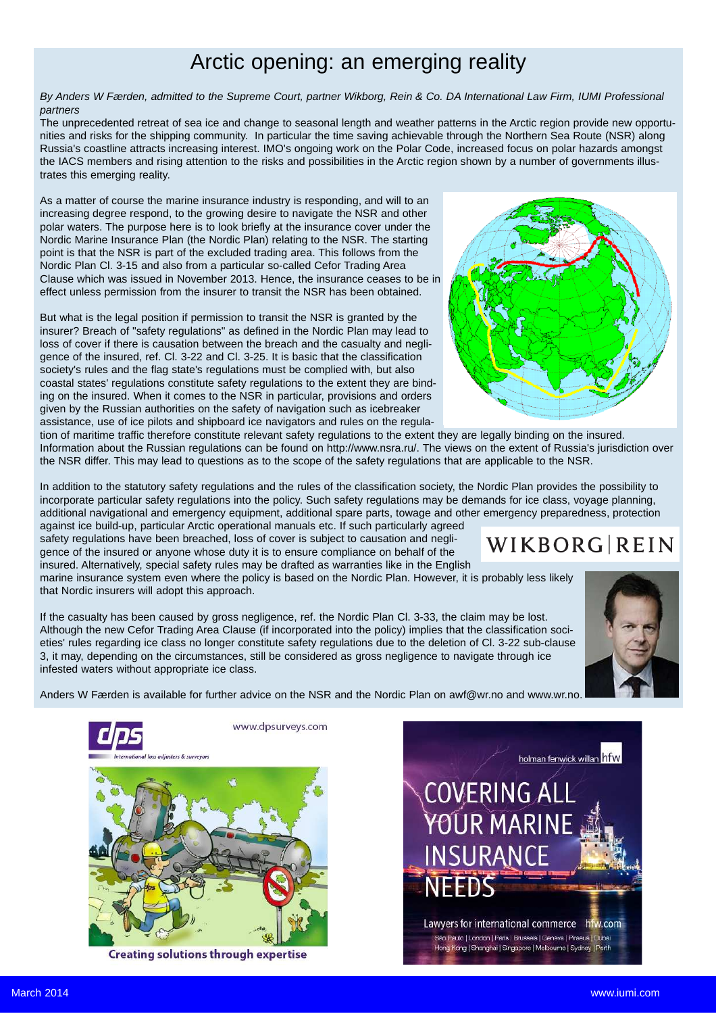### Arctic opening: an emerging reality

*By Anders W Færden, admitted to the Supreme Court, partner Wikborg, Rein & Co. DA International Law Firm, IUMI Professional partners*

The unprecedented retreat of sea ice and change to seasonal length and weather patterns in the Arctic region provide new opportunities and risks for the shipping community. In particular the time saving achievable through the Northern Sea Route (NSR) along Russia's coastline attracts increasing interest. IMO's ongoing work on the Polar Code, increased focus on polar hazards amongst the IACS members and rising attention to the risks and possibilities in the Arctic region shown by a number of governments illustrates this emerging reality.

As a matter of course the marine insurance industry is responding, and will to an increasing degree respond, to the growing desire to navigate the NSR and other polar waters. The purpose here is to look briefly at the insurance cover under the Nordic Marine Insurance Plan (the Nordic Plan) relating to the NSR. The starting point is that the NSR is part of the excluded trading area. This follows from the Nordic Plan Cl. 3-15 and also from a particular so-called Cefor Trading Area Clause which was issued in November 2013. Hence, the insurance ceases to be in effect unless permission from the insurer to transit the NSR has been obtained.

But what is the legal position if permission to transit the NSR is granted by the insurer? Breach of "safety regulations" as defined in the Nordic Plan may lead to loss of cover if there is causation between the breach and the casualty and negligence of the insured, ref. Cl. 3-22 and Cl. 3-25. It is basic that the classification society's rules and the flag state's regulations must be complied with, but also coastal states' regulations constitute safety regulations to the extent they are binding on the insured. When it comes to the NSR in particular, provisions and orders given by the Russian authorities on the safety of navigation such as icebreaker assistance, use of ice pilots and shipboard ice navigators and rules on the regula-



tion of maritime traffic therefore constitute relevant safety regulations to the extent they are legally binding on the insured. Information about the Russian regulations can be found on http://www.nsra.ru/. The views on the extent of Russia's jurisdiction over the NSR differ. This may lead to questions as to the scope of the safety regulations that are applicable to the NSR.

In addition to the statutory safety regulations and the rules of the classification society, the Nordic Plan provides the possibility to incorporate particular safety regulations into the policy. Such safety regulations may be demands for ice class, voyage planning, additional navigational and emergency equipment, additional spare parts, towage and other emergency preparedness, protection

against ice build-up, particular Arctic operational manuals etc. If such particularly agreed safety regulations have been breached, loss of cover is subject to causation and negligence of the insured or anyone whose duty it is to ensure compliance on behalf of the insured. Alternatively, special safety rules may be drafted as warranties like in the English

marine insurance system even where the policy is based on the Nordic Plan. However, it is probably less likely that Nordic insurers will adopt this approach.

If the casualty has been caused by gross negligence, ref. the Nordic Plan Cl. 3-33, the claim may be lost. Although the new Cefor Trading Area Clause (if incorporated into the policy) implies that the classification societies' rules regarding ice class no longer constitute safety regulations due to the deletion of Cl. 3-22 sub-clause 3, it may, depending on the circumstances, still be considered as gross negligence to navigate through ice infested waters without appropriate ice class.



**WIKBORG REIN** 

Anders W Færden is available for further advice on the NSR and the Nordic Plan on awf@wr.no and www.wr.no.



**Creating solutions through expertise** 

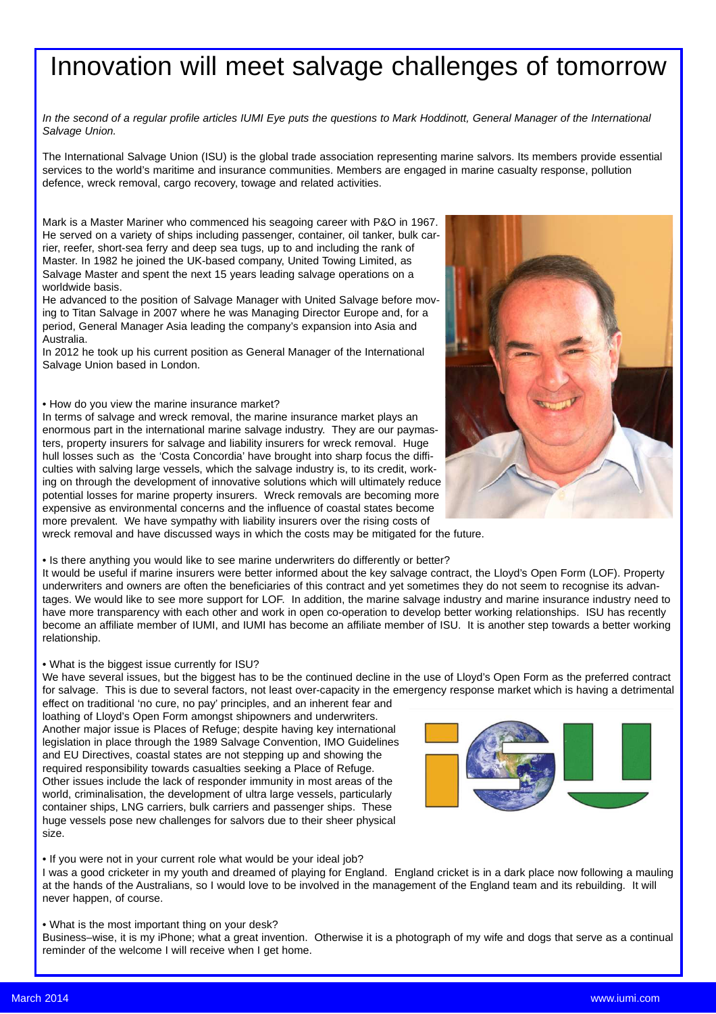# Innovation will meet salvage challenges of tomorrow

*In the second of a regular profile articles IUMI Eye puts the questions to Mark Hoddinott, General Manager of the International Salvage Union.*

The International Salvage Union (ISU) is the global trade association representing marine salvors. Its members provide essential services to the world's maritime and insurance communities. Members are engaged in marine casualty response, pollution defence, wreck removal, cargo recovery, towage and related activities.

Mark is a Master Mariner who commenced his seagoing career with P&O in 1967. He served on a variety of ships including passenger, container, oil tanker, bulk carrier, reefer, short-sea ferry and deep sea tugs, up to and including the rank of Master. In 1982 he joined the UK-based company, United Towing Limited, as Salvage Master and spent the next 15 years leading salvage operations on a worldwide basis.

He advanced to the position of Salvage Manager with United Salvage before moving to Titan Salvage in 2007 where he was Managing Director Europe and, for a period, General Manager Asia leading the company's expansion into Asia and Australia.

In 2012 he took up his current position as General Manager of the International Salvage Union based in London.

#### • How do you view the marine insurance market?

In terms of salvage and wreck removal, the marine insurance market plays an enormous part in the international marine salvage industry. They are our paymasters, property insurers for salvage and liability insurers for wreck removal. Huge hull losses such as the 'Costa Concordia' have brought into sharp focus the difficulties with salving large vessels, which the salvage industry is, to its credit, working on through the development of innovative solutions which will ultimately reduce potential losses for marine property insurers. Wreck removals are becoming more expensive as environmental concerns and the influence of coastal states become more prevalent. We have sympathy with liability insurers over the rising costs of



wreck removal and have discussed ways in which the costs may be mitigated for the future.

• Is there anything you would like to see marine underwriters do differently or better?

It would be useful if marine insurers were better informed about the key salvage contract, the Lloyd's Open Form (LOF). Property underwriters and owners are often the beneficiaries of this contract and yet sometimes they do not seem to recognise its advantages. We would like to see more support for LOF. In addition, the marine salvage industry and marine insurance industry need to have more transparency with each other and work in open co-operation to develop better working relationships. ISU has recently become an affiliate member of IUMI, and IUMI has become an affiliate member of ISU. It is another step towards a better working relationship.

#### • What is the biggest issue currently for ISU?

We have several issues, but the biggest has to be the continued decline in the use of Lloyd's Open Form as the preferred contract for salvage. This is due to several factors, not least over-capacity in the emergency response market which is having a detrimental

effect on traditional 'no cure, no pay' principles, and an inherent fear and loathing of Lloyd's Open Form amongst shipowners and underwriters. Another major issue is Places of Refuge; despite having key international legislation in place through the 1989 Salvage Convention, IMO Guidelines and EU Directives, coastal states are not stepping up and showing the required responsibility towards casualties seeking a Place of Refuge. Other issues include the lack of responder immunity in most areas of the world, criminalisation, the development of ultra large vessels, particularly container ships, LNG carriers, bulk carriers and passenger ships. These huge vessels pose new challenges for salvors due to their sheer physical size.



I was a good cricketer in my youth and dreamed of playing for England. England cricket is in a dark place now following a mauling at the hands of the Australians, so I would love to be involved in the management of the England team and its rebuilding. It will never happen, of course.

• What is the most important thing on your desk? Business–wise, it is my iPhone; what a great invention. Otherwise it is a photograph of my wife and dogs that serve as a continual reminder of the welcome I will receive when I get home.